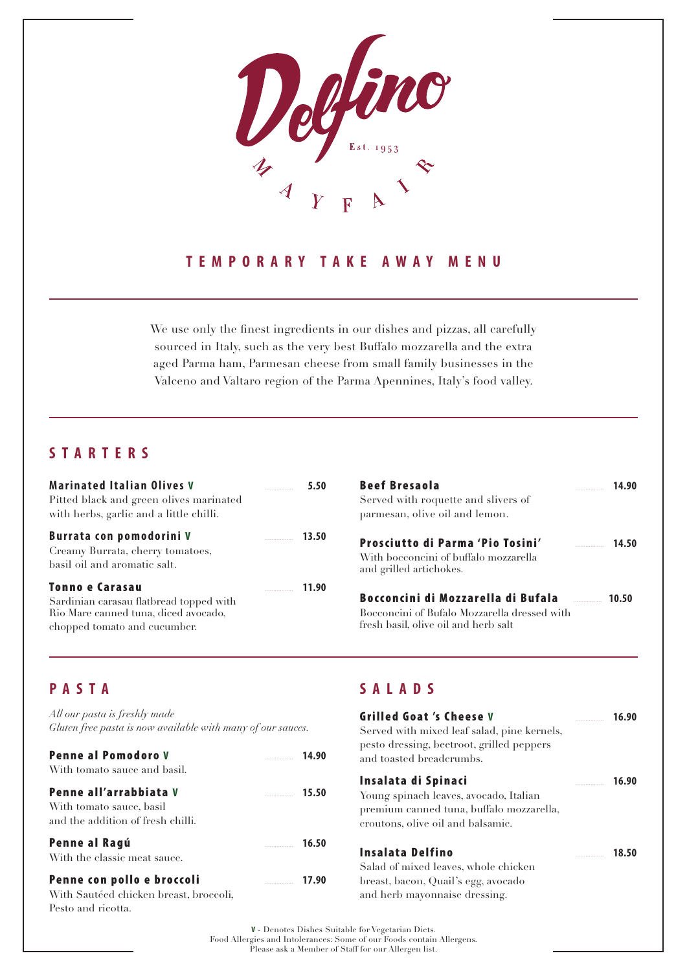

#### **TEMPORARY TAKE AWAY MENU**

We use only the finest ingredients in our dishes and pizzas, all carefully sourced in Italy, such as the very best Buffalo mozzarella and the extra aged Parma ham, Parmesan cheese from small family businesses in the Valceno and Valtaro region of the Parma Apennines, Italy's food valley.

## **STARTERS**

| <b>Marinated Italian Olives V</b><br>Pitted black and green olives marinated<br>with herbs, garlic and a little chilli.                   | 5.50  |
|-------------------------------------------------------------------------------------------------------------------------------------------|-------|
| Burrata con pomodorini V<br>Creamy Burrata, cherry tomatoes,<br>basil oil and aromatic salt.                                              |       |
| <b>Tonno e Carasau</b><br>Sardinian carasau flatbread topped with<br>Rio Mare canned tuna, diced avocado,<br>chopped tomato and cucumber. | 11.90 |

| <b>Beef Bresaola</b>                                                                 | <u> 1999 - Johann Barnett, f</u> | 14.90 |
|--------------------------------------------------------------------------------------|----------------------------------|-------|
| Served with roquette and slivers of                                                  |                                  |       |
| parmesan, olive oil and lemon.                                                       |                                  |       |
| Prosciutto di Parma 'Pio Tosini'                                                     | $\sim$ 14.50                     |       |
| With bocconcini of buffalo mozzarella<br>and grilled artichokes.                     |                                  |       |
| Bocconcini di Mozzarella di Bufala <b>chiavato di Bufala</b>                         |                                  | 10.50 |
| Bocconcini of Bufalo Mozzarella dressed with<br>fresh basil, olive oil and herb salt |                                  |       |

### **PASTA**

*All our pasta is freshly made Gluten free pasta is now available with many of our sauces.*

| <b>Penne al Pomodoro V</b><br>With tomato sauce and basil.                              |       | 14.90 |
|-----------------------------------------------------------------------------------------|-------|-------|
| Penne all'arrabbiata V<br>With tomato sauce, basil<br>and the addition of fresh chilli. | 15.50 |       |
| Penne al Ragú<br>With the classic meat sauce.                                           |       | 16.50 |
| Penne con pollo e broccoli                                                              |       |       |

With Sautéed chicken breast, broccoli, Pesto and ricotta.

#### **SALADS**

| Grilled Goat 's Cheese V<br>Served with mixed leaf salad, pine kernels,<br>pesto dressing, beetroot, grilled peppers<br>and toasted breadcrumbs. | 16.90 |
|--------------------------------------------------------------------------------------------------------------------------------------------------|-------|
| Insalata di Spinaci<br>Young spinach leaves, avocado, Italian<br>premium canned tuna, buffalo mozzarella,<br>croutons, olive oil and balsamic.   | 16.90 |
| Insalata Delfino<br>Salad of mixed leaves, whole chicken<br>breast, bacon, Quail's egg, avocado<br>and herb mayonnaise dressing.                 | 18.50 |

**V** - Denotes Dishes Suitable for Vegetarian Diets. Food Allergies and Intolerances: Some of our Foods contain Allergens. Please ask a Member of Staff for our Allergen list.